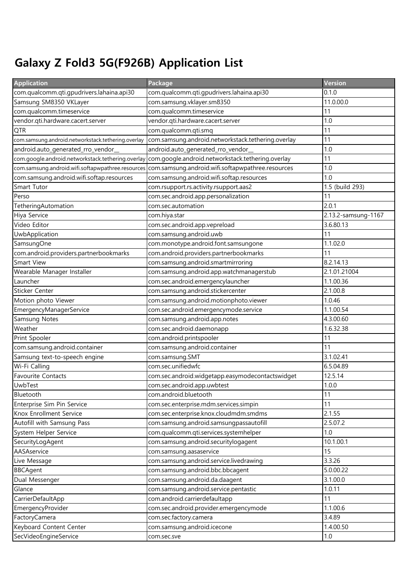## Galaxy Z Fold3 5G(F926B) Application List

| <b>Application</b>                                 | Package                                            | Version             |
|----------------------------------------------------|----------------------------------------------------|---------------------|
| com.qualcomm.qti.gpudrivers.lahaina.api30          | com.qualcomm.qti.gpudrivers.lahaina.api30          | 0.1.0               |
| Samsung SM8350 VKLayer                             | com.samsung.vklayer.sm8350                         | 11.0.00.0           |
| com.qualcomm.timeservice                           | com.qualcomm.timeservice                           | 11                  |
| vendor.qti.hardware.cacert.server                  | vendor.qti.hardware.cacert.server                  | 1.0                 |
| <b>QTR</b>                                         | com.qualcomm.qti.smq                               | 11                  |
| com.samsung.android.networkstack.tethering.overlay | com.samsung.android.networkstack.tethering.overlay | 11                  |
| android.auto_generated_rro_vendor_                 | android.auto_generated_rro_vendor_                 | 1.0                 |
| com.google.android.networkstack.tethering.overlay  | com.google.android.networkstack.tethering.overlay  | 11                  |
| com.samsung.android.wifi.softapwpathree.resources  | com.samsung.android.wifi.softapwpathree.resources  | 1.0                 |
| com.samsung.android.wifi.softap.resources          | com.samsung.android.wifi.softap.resources          | 1.0                 |
| Smart Tutor                                        | com.rsupport.rs.activity.rsupport.aas2             | 1.5 (build 293)     |
| Perso                                              | com.sec.android.app.personalization                | 11                  |
| TetheringAutomation                                | com.sec.automation                                 | 2.0.1               |
| Hiya Service                                       | com.hiya.star                                      | 2.13.2-samsung-1167 |
| Video Editor                                       | com.sec.android.app.vepreload                      | 3.6.80.13           |
| UwbApplication                                     | com.samsung.android.uwb                            | 11                  |
| SamsungOne                                         | com.monotype.android.font.samsungone               | 1.1.02.0            |
| com.android.providers.partnerbookmarks             | com.android.providers.partnerbookmarks             | 11                  |
| Smart View                                         | com.samsung.android.smartmirroring                 | 8.2.14.13           |
| Wearable Manager Installer                         | com.samsung.android.app.watchmanagerstub           | 2.1.01.21004        |
| Launcher                                           | com.sec.android.emergencylauncher                  | 1.1.00.36           |
| Sticker Center                                     | com.samsung.android.stickercenter                  | 2.1.00.8            |
| Motion photo Viewer                                | com.samsung.android.motionphoto.viewer             | 1.0.46              |
| EmergencyManagerService                            | com.sec.android.emergencymode.service              | 1.1.00.54           |
| Samsung Notes                                      | com.samsung.android.app.notes                      | 4.3.00.60           |
| Weather                                            | com.sec.android.daemonapp                          | 1.6.32.38           |
| Print Spooler                                      | com.android.printspooler                           | 11                  |
| com.samsung.android.container                      | com.samsung.android.container                      | 11                  |
| Samsung text-to-speech engine                      | com.samsung.SMT                                    | 3.1.02.41           |
| Wi-Fi Calling                                      | com.sec.unifiedwfc                                 | 6.5.04.89           |
| Favourite Contacts                                 | com.sec.android.widgetapp.easymodecontactswidget   | 12.5.14             |
| <b>UwbTest</b>                                     | com.sec.android.app.uwbtest                        | 1.0.0               |
| Bluetooth                                          | com.android.bluetooth                              | 11                  |
| Enterprise Sim Pin Service                         | com.sec.enterprise.mdm.services.simpin             | 11                  |
| Knox Enrollment Service                            | com.sec.enterprise.knox.cloudmdm.smdms             | 2.1.55              |
| Autofill with Samsung Pass                         | com.samsung.android.samsungpassautofill            | 2.5.07.2            |
| System Helper Service                              | com.qualcomm.qti.services.systemhelper             | 1.0                 |
| SecurityLogAgent                                   | com.samsung.android.securitylogagent               | 10.1.00.1           |
| AASAservice                                        | com.samsung.aasaservice                            | 15                  |
| Live Message                                       | com.samsung.android.service.livedrawing            | 3.3.26              |
| <b>BBCAgent</b>                                    | com.samsung.android.bbc.bbcagent                   | 5.0.00.22           |
| Dual Messenger                                     | com.samsung.android.da.daagent                     | 3.1.00.0            |
| Glance                                             | com.samsung.android.service.pentastic              | 1.0.11              |
| CarrierDefaultApp                                  | com.android.carrierdefaultapp                      | 11                  |
| EmergencyProvider                                  | com.sec.android.provider.emergencymode             | 1.1.00.6            |
| FactoryCamera                                      | com.sec.factory.camera                             | 3.4.89              |
| Keyboard Content Center                            | com.samsung.android.icecone                        | 1.4.00.50           |
| SecVideoEngineService                              | com.sec.sve                                        | 1.0                 |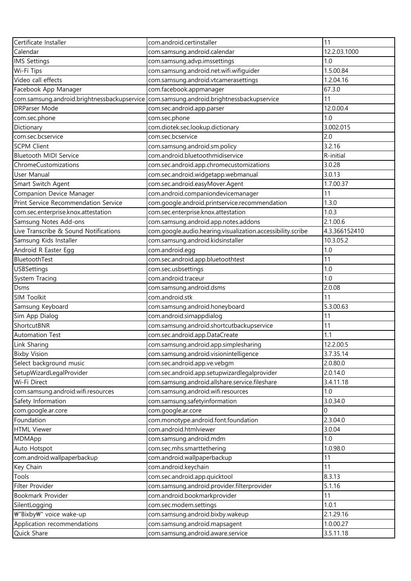| Certificate Installer                       | com.android.certinstaller                                   | 11            |
|---------------------------------------------|-------------------------------------------------------------|---------------|
| Calendar                                    | com.samsung.android.calendar                                | 12.2.03.1000  |
| <b>IMS Settings</b>                         | com.samsung.advp.imssettings                                | 1.0           |
| Wi-Fi Tips                                  | com.samsung.android.net.wifi.wifiguider                     | 1.5.00.84     |
| Video call effects                          | com.samsung.android.vtcamerasettings                        | 1.2.04.16     |
| Facebook App Manager                        | com.facebook.appmanager                                     | 67.3.0        |
| com.samsung.android.brightnessbackupservice | com.samsung.android.brightnessbackupservice                 | 11            |
| <b>DRParser Mode</b>                        | com.sec.android.app.parser                                  | 12.0.00.4     |
| com.sec.phone                               | com.sec.phone                                               | 1.0           |
| Dictionary                                  | com.diotek.sec.lookup.dictionary                            | 3.002.015     |
| com.sec.bcservice                           | com.sec.bcservice                                           | 2.0           |
| <b>SCPM Client</b>                          | com.samsung.android.sm.policy                               | 3.2.16        |
| <b>Bluetooth MIDI Service</b>               | com.android.bluetoothmidiservice                            | R-initial     |
| ChromeCustomizations                        | com.sec.android.app.chromecustomizations                    | 3.0.28        |
| User Manual                                 | com.sec.android.widgetapp.webmanual                         | 3.0.13        |
| Smart Switch Agent                          | com.sec.android.easyMover.Agent                             | 1.7.00.37     |
| Companion Device Manager                    | com.android.companiondevicemanager                          | 11            |
| Print Service Recommendation Service        | com.google.android.printservice.recommendation              | 1.3.0         |
| com.sec.enterprise.knox.attestation         | com.sec.enterprise.knox.attestation                         | 1.0.3         |
| Samsung Notes Add-ons                       | com.samsung.android.app.notes.addons                        | 2.1.00.6      |
| Live Transcribe & Sound Notifications       | com.google.audio.hearing.visualization.accessibility.scribe | 4.3.366152410 |
| Samsung Kids Installer                      | com.samsung.android.kidsinstaller                           | 10.3.05.2     |
| Android R Easter Egg                        | com.android.egg                                             | 1.0           |
| BluetoothTest                               | com.sec.android.app.bluetoothtest                           | 11            |
| <b>USBSettings</b>                          | com.sec.usbsettings                                         | 1.0           |
| System Tracing                              | com.android.traceur                                         | 1.0           |
| <b>Dsms</b>                                 | com.samsung.android.dsms                                    | 2.0.08        |
| SIM Toolkit                                 | com.android.stk                                             | 11            |
| Samsung Keyboard                            | com.samsung.android.honeyboard                              | 5.3.00.63     |
| Sim App Dialog                              | com.android.simappdialog                                    | 11            |
| ShortcutBNR                                 | com.samsung.android.shortcutbackupservice                   | 11            |
| Automation Test                             | com.sec.android.app.DataCreate                              | 1.1           |
| Link Sharing                                | com.samsung.android.app.simplesharing                       | 12.2.00.5     |
| <b>Bixby Vision</b>                         | com.samsung.android.visionintelligence                      | 3.7.35.14     |
| Select background music                     | com.sec.android.app.ve.vebgm                                | 2.0.80.0      |
| SetupWizardLegalProvider                    | com.sec.android.app.setupwizardlegalprovider                | 2.0.14.0      |
| Wi-Fi Direct                                | com.samsung.android.allshare.service.fileshare              | 3.4.11.18     |
| com.samsung.android.wifi.resources          | com.samsung.android.wifi.resources                          | 1.0           |
| Safety Information                          | com.samsung.safetyinformation                               | 3.0.34.0      |
| com.google.ar.core                          | com.google.ar.core                                          | $\Omega$      |
| Foundation                                  | com.monotype.android.font.foundation                        | 2.3.04.0      |
| <b>HTML Viewer</b>                          | com.android.htmlviewer                                      | 3.0.04        |
| MDMApp                                      | com.samsung.android.mdm                                     | 1.0           |
| Auto Hotspot                                | com.sec.mhs.smarttethering                                  | 1.0.98.0      |
| com.android.wallpaperbackup                 | com.android.wallpaperbackup                                 | 11            |
| Key Chain                                   | com.android.keychain                                        | 11            |
| Tools                                       | com.sec.android.app.quicktool                               | 8.3.13        |
| Filter Provider                             | com.samsung.android.provider.filterprovider                 | 5.1.16        |
| Bookmark Provider                           | com.android.bookmarkprovider                                | 11            |
| SilentLogging                               | com.sec.modem.settings                                      | 1.0.1         |
| ₩"Bixby₩" voice wake-up                     | com.samsung.android.bixby.wakeup                            | 2.1.29.16     |
| Application recommendations                 | com.samsung.android.mapsagent                               | 1.0.00.27     |
| Quick Share                                 | com.samsung.android.aware.service                           | 3.5.11.18     |
|                                             |                                                             |               |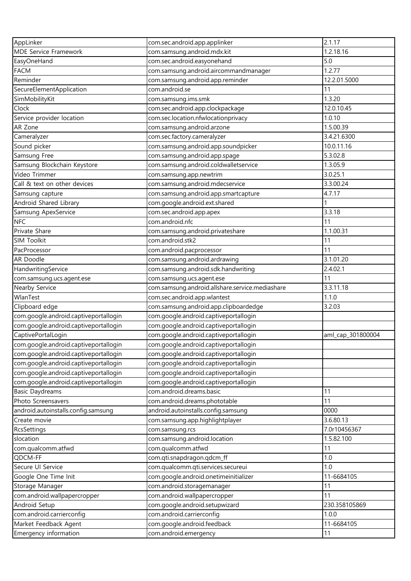| AppLinker                                   | com.sec.android.app.applinker                                                | 2.1.17            |
|---------------------------------------------|------------------------------------------------------------------------------|-------------------|
| <b>MDE Service Framework</b>                | com.samsung.android.mdx.kit                                                  | 1.2.18.16         |
| EasyOneHand                                 | com.sec.android.easyonehand                                                  | 5.0               |
| <b>FACM</b>                                 | com.samsung.android.aircommandmanager                                        | 1.2.77            |
| Reminder                                    | com.samsung.android.app.reminder                                             | 12.2.01.5000      |
| SecureElementApplication                    | com.android.se                                                               | 11                |
| SimMobilityKit                              | com.samsung.ims.smk                                                          | 1.3.20            |
| Clock                                       | com.sec.android.app.clockpackage                                             | 12.0.10.45        |
| Service provider location                   | com.sec.location.nfwlocationprivacy                                          | 1.0.10            |
| AR Zone                                     | com.samsung.android.arzone                                                   | 1.5.00.39         |
| Cameralyzer                                 | com.sec.factory.cameralyzer                                                  | 3.4.21.6300       |
| Sound picker                                | com.samsung.android.app.soundpicker                                          | 10.0.11.16        |
| Samsung Free                                | com.samsung.android.app.spage                                                | 5.3.02.8          |
| Samsung Blockchain Keystore                 | com.samsung.android.coldwalletservice                                        | 1.3.05.9          |
| Video Trimmer                               | com.samsung.app.newtrim                                                      | 3.0.25.1          |
| Call & text on other devices                | com.samsung.android.mdecservice                                              | 3.3.00.24         |
| Samsung capture                             | com.samsung.android.app.smartcapture                                         | 4.7.17            |
| Android Shared Library                      | com.google.android.ext.shared                                                |                   |
| Samsung ApexService                         | com.sec.android.app.apex                                                     | 3.3.18            |
| <b>NFC</b>                                  | com.android.nfc                                                              | 11                |
| Private Share                               | com.samsung.android.privateshare                                             | 1.1.00.31         |
| SIM Toolkit                                 | com.android.stk2                                                             | 11                |
| PacProcessor                                | com.android.pacprocessor                                                     | 11                |
| AR Doodle                                   | com.samsung.android.ardrawing                                                | 3.1.01.20         |
| HandwritingService                          | com.samsung.android.sdk.handwriting                                          | 2.4.02.1          |
|                                             |                                                                              | 11                |
| com.samsung.ucs.agent.ese<br>Nearby Service | com.samsung.ucs.agent.ese<br>com.samsung.android.allshare.service.mediashare | 3.3.11.18         |
| WlanTest                                    |                                                                              | 1.1.0             |
|                                             | com.sec.android.app.wlantest                                                 | 3.2.03            |
| Clipboard edge                              | com.samsung.android.app.clipboardedge                                        |                   |
| com.google.android.captiveportallogin       | com.google.android.captiveportallogin                                        |                   |
| com.google.android.captiveportallogin       | com.google.android.captiveportallogin                                        |                   |
| CaptivePortalLogin                          | com.google.android.captiveportallogin                                        | aml_cap_301800004 |
| com.google.android.captiveportallogin       | com.google.android.captiveportallogin                                        |                   |
| com.google.android.captiveportallogin       | com.google.android.captiveportallogin                                        |                   |
| com.google.android.captiveportallogin       | com.google.android.captiveportallogin                                        |                   |
| com.google.android.captiveportallogin       | com.google.android.captiveportallogin                                        |                   |
| com.google.android.captiveportallogin       | com.google.android.captiveportallogin                                        |                   |
| <b>Basic Daydreams</b>                      | com.android.dreams.basic                                                     | 11                |
| Photo Screensavers                          | com.android.dreams.phototable                                                | 11                |
| android.autoinstalls.config.samsung         | android.autoinstalls.config.samsung                                          | 0000              |
| Create movie                                | com.samsung.app.highlightplayer                                              | 3.6.80.13         |
| RcsSettings                                 | com.samsung.rcs                                                              | 7.0r10456367      |
| slocation                                   | com.samsung.android.location                                                 | 1.5.82.100        |
| com.qualcomm.atfwd                          | com.qualcomm.atfwd                                                           | 11                |
| QDCM-FF                                     | com.qti.snapdragon.qdcm_ff                                                   | 1.0               |
| Secure UI Service                           | com.qualcomm.qti.services.secureui                                           | 1.0               |
| Google One Time Init                        | com.google.android.onetimeinitializer                                        | 11-6684105        |
| Storage Manager                             | com.android.storagemanager                                                   | 11                |
| com.android.wallpapercropper                | com.android.wallpapercropper                                                 | 11                |
| Android Setup                               | com.google.android.setupwizard                                               | 230.358105869     |
| com.android.carrierconfig                   | com.android.carrierconfig                                                    | 1.0.0             |
| Market Feedback Agent                       | com.google.android.feedback                                                  | 11-6684105        |
| Emergency information                       | com.android.emergency                                                        | 11                |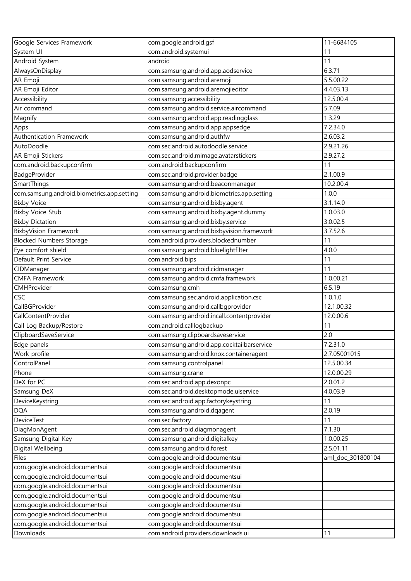| Google Services Framework                  | com.google.android.gsf                     | 11-6684105        |
|--------------------------------------------|--------------------------------------------|-------------------|
| System UI                                  | com.android.systemui                       | 11                |
| Android System                             | android                                    | 11                |
| AlwaysOnDisplay                            | com.samsung.android.app.aodservice         | 6.3.71            |
| AR Emoji                                   | com.samsung.android.aremoji                | 5.5.00.22         |
| AR Emoji Editor                            | com.samsung.android.aremojieditor          | 4.4.03.13         |
| Accessibility                              | com.samsung.accessibility                  | 12.5.00.4         |
| Air command                                | com.samsung.android.service.aircommand     | 5.7.09            |
| Magnify                                    | com.samsung.android.app.readingglass       | 1.3.29            |
| Apps                                       | com.samsung.android.app.appsedge           | 7.2.34.0          |
| Authentication Framework                   | com.samsung.android.authfw                 | 2.6.03.2          |
| AutoDoodle                                 | com.sec.android.autodoodle.service         | 2.9.21.26         |
| AR Emoji Stickers                          | com.sec.android.mimage.avatarstickers      | 2.9.27.2          |
| com.android.backupconfirm                  | com.android.backupconfirm                  | 11                |
| BadgeProvider                              | com.sec.android.provider.badge             | 2.1.00.9          |
| SmartThings                                | com.samsung.android.beaconmanager          | 10.2.00.4         |
| com.samsung.android.biometrics.app.setting | com.samsung.android.biometrics.app.setting | 1.0.0             |
| <b>Bixby Voice</b>                         | com.samsung.android.bixby.agent            | 3.1.14.0          |
| <b>Bixby Voice Stub</b>                    | com.samsung.android.bixby.agent.dummy      | 1.0.03.0          |
| <b>Bixby Dictation</b>                     | com.samsung.android.bixby.service          | 3.0.02.5          |
| <b>BixbyVision Framework</b>               | com.samsung.android.bixbyvision.framework  | 3.7.52.6          |
| <b>Blocked Numbers Storage</b>             | com.android.providers.blockednumber        | 11                |
| Eye comfort shield                         | com.samsung.android.bluelightfilter        | 4.0.0             |
| Default Print Service                      | com.android.bips                           | 11                |
| CIDManager                                 | com.samsung.android.cidmanager             | 11                |
| <b>CMFA Framework</b>                      | com.samsung.android.cmfa.framework         | 1.0.00.21         |
| CMHProvider                                | com.samsung.cmh                            | 6.5.19            |
| CSC                                        | com.samsung.sec.android.application.csc    | 1.0.1.0           |
| CallBGProvider                             | com.samsung.android.callbgprovider         | 12.1.00.32        |
| CallContentProvider                        | com.samsung.android.incall.contentprovider | 12.0.00.6         |
| Call Log Backup/Restore                    | com.android.calllogbackup                  | 11                |
| ClipboardSaveService                       | com.samsung.clipboardsaveservice           | 2.0               |
| Edge panels                                | com.samsung.android.app.cocktailbarservice | 7.2.31.0          |
| Work profile                               | com.samsung.android.knox.containeragent    | 2.7.05001015      |
| ControlPanel                               | com.samsung.controlpanel                   | 12.5.00.34        |
| Phone                                      | com.samsung.crane                          | 12.0.00.29        |
| DeX for PC                                 | com.sec.android.app.dexonpc                | 2.0.01.2          |
| Samsung DeX                                | com.sec.android.desktopmode.uiservice      | 4.0.03.9          |
| DeviceKeystring                            | com.sec.android.app.factorykeystring       | 11                |
| <b>DQA</b>                                 | com.samsung.android.dqagent                | 2.0.19            |
| DeviceTest                                 | com.sec.factory                            | 11                |
| DiagMonAgent                               | com.sec.android.diagmonagent               | 7.1.30            |
| Samsung Digital Key                        | com.samsung.android.digitalkey             | 1.0.00.25         |
| Digital Wellbeing                          | com.samsung.android.forest                 | 2.5.01.11         |
| Files                                      | com.google.android.documentsui             | aml_doc_301800104 |
| com.google.android.documentsui             | com.google.android.documentsui             |                   |
| com.google.android.documentsui             | com.google.android.documentsui             |                   |
| com.google.android.documentsui             | com.google.android.documentsui             |                   |
| com.google.android.documentsui             | com.google.android.documentsui             |                   |
| com.google.android.documentsui             | com.google.android.documentsui             |                   |
| com.google.android.documentsui             | com.google.android.documentsui             |                   |
| com.google.android.documentsui             | com.google.android.documentsui             |                   |
| Downloads                                  | com.android.providers.downloads.ui         | 11                |
|                                            |                                            |                   |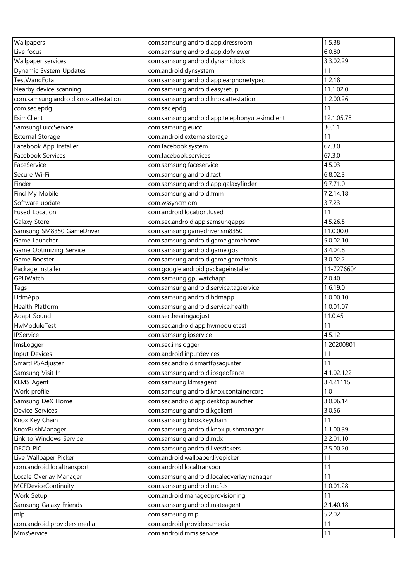| Wallpapers                           | com.samsung.android.app.dressroom              | 1.5.38     |
|--------------------------------------|------------------------------------------------|------------|
| Live focus                           | com.samsung.android.app.dofviewer              | 6.0.80     |
| Wallpaper services                   | com.samsung.android.dynamiclock                | 3.3.02.29  |
| Dynamic System Updates               | com.android.dynsystem                          | 11         |
| TestWandFota                         | com.samsung.android.app.earphonetypec          | 1.2.18     |
| Nearby device scanning               | com.samsung.android.easysetup                  | 11.1.02.0  |
| com.samsung.android.knox.attestation | com.samsung.android.knox.attestation           | 1.2.00.26  |
| com.sec.epdg                         | com.sec.epdg                                   | 11         |
| EsimClient                           | com.samsung.android.app.telephonyui.esimclient | 12.1.05.78 |
| SamsungEuiccService                  | com.samsung.euicc                              | 30.1.1     |
| <b>External Storage</b>              | com.android.externalstorage                    | 11         |
| Facebook App Installer               | com.facebook.system                            | 67.3.0     |
| Facebook Services                    | com.facebook.services                          | 67.3.0     |
| FaceService                          | com.samsung.faceservice                        | 4.5.03     |
| Secure Wi-Fi                         | com.samsung.android.fast                       | 6.8.02.3   |
| Finder                               | com.samsung.android.app.galaxyfinder           | 9.7.71.0   |
| Find My Mobile                       | com.samsung.android.fmm                        | 7.2.14.18  |
| Software update                      | com.wssyncmldm                                 | 3.7.23     |
| <b>Fused Location</b>                | com.android.location.fused                     | 11         |
| Galaxy Store                         | com.sec.android.app.samsungapps                | 4.5.26.5   |
| Samsung SM8350 GameDriver            | com.samsung.gamedriver.sm8350                  | 11.0.00.0  |
| Game Launcher                        | com.samsung.android.game.gamehome              | 5.0.02.10  |
| Game Optimizing Service              | com.samsung.android.game.gos                   | 3.4.04.8   |
| Game Booster                         | com.samsung.android.game.gametools             | 3.0.02.2   |
| Package installer                    | com.google.android.packageinstaller            | 11-7276604 |
| GPUWatch                             | com.samsung.gpuwatchapp                        | 2.0.40     |
| Tags                                 | com.samsung.android.service.tagservice         | 1.6.19.0   |
| HdmApp                               | com.samsung.android.hdmapp                     | 1.0.00.10  |
| Health Platform                      | com.samsung.android.service.health             | 1.0.01.07  |
| Adapt Sound                          | com.sec.hearingadjust                          | 11.0.45    |
| HwModuleTest                         | com.sec.android.app.hwmoduletest               | 11         |
| <b>IPService</b>                     | com.samsung.ipservice                          | 4.5.12     |
| ImsLogger                            | com.sec.imslogger                              | 1.20200801 |
| Input Devices                        | com.android.inputdevices                       | 11         |
| SmartFPSAdjuster                     | com.sec.android.smartfpsadjuster               | 11         |
| Samsung Visit In                     | com.samsung.android.ipsgeofence                | 4.1.02.122 |
| <b>KLMS Agent</b>                    | com.samsung.klmsagent                          | 3.4.21115  |
| Work profile                         | com.samsung.android.knox.containercore         | 1.0        |
| Samsung DeX Home                     | com.sec.android.app.desktoplauncher            | 3.0.06.14  |
| Device Services                      | com.samsung.android.kgclient                   | 3.0.56     |
| Knox Key Chain                       | com.samsung.knox.keychain                      | 11         |
| KnoxPushManager                      | com.samsung.android.knox.pushmanager           | 1.1.00.39  |
| Link to Windows Service              | com.samsung.android.mdx                        | 2.2.01.10  |
| DECO PIC                             | com.samsung.android.livestickers               | 2.5.00.20  |
| Live Wallpaper Picker                | com.android.wallpaper.livepicker               | 11         |
| com.android.localtransport           | com.android.localtransport                     | 11         |
| Locale Overlay Manager               | com.samsung.android.localeoverlaymanager       | 11         |
| <b>MCFDeviceContinuity</b>           | com.samsung.android.mcfds                      | 1.0.01.28  |
| Work Setup                           | com.android.managedprovisioning                | 11         |
| Samsung Galaxy Friends               | com.samsung.android.mateagent                  | 2.1.40.18  |
| mlp                                  | com.samsung.mlp                                | 5.2.02     |
| com.android.providers.media          | com.android.providers.media                    | 11         |
| MmsService                           | com.android.mms.service                        | 11         |
|                                      |                                                |            |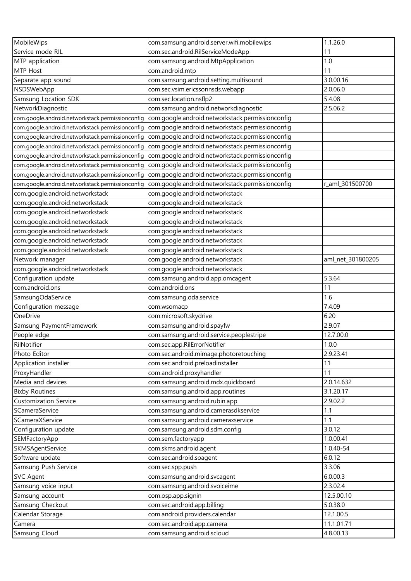| MobileWips                                       | com.samsung.android.server.wifi.mobilewips       | 1.1.26.0          |
|--------------------------------------------------|--------------------------------------------------|-------------------|
| Service mode RIL                                 | com.sec.android.RilServiceModeApp                | 11                |
| MTP application                                  | com.samsung.android.MtpApplication               | 1.0               |
| MTP Host                                         | com.android.mtp                                  | 11                |
| Separate app sound                               | com.samsung.android.setting.multisound           | 3.0.00.16         |
| NSDSWebApp                                       | com.sec.vsim.ericssonnsds.webapp                 | 2.0.06.0          |
| Samsung Location SDK                             | com.sec.location.nsflp2                          | 5.4.08            |
| NetworkDiagnostic                                | com.samsung.android.networkdiagnostic            | 2.5.06.2          |
| com.google.android.networkstack.permissionconfig | com.google.android.networkstack.permissionconfig |                   |
| com.google.android.networkstack.permissionconfig | com.google.android.networkstack.permissionconfiq |                   |
| com.google.android.networkstack.permissionconfig | com.google.android.networkstack.permissionconfig |                   |
| com.google.android.networkstack.permissionconfig | com.google.android.networkstack.permissionconfig |                   |
| com.google.android.networkstack.permissionconfig | com.google.android.networkstack.permissionconfig |                   |
| com.google.android.networkstack.permissionconfig | com.google.android.networkstack.permissionconfig |                   |
| com.google.android.networkstack.permissionconfig | com.google.android.networkstack.permissionconfig |                   |
| com.google.android.networkstack.permissionconfig | com.google.android.networkstack.permissionconfig | r_aml_301500700   |
| com.google.android.networkstack                  | com.google.android.networkstack                  |                   |
| com.google.android.networkstack                  | com.google.android.networkstack                  |                   |
| com.google.android.networkstack                  | com.google.android.networkstack                  |                   |
| com.google.android.networkstack                  | com.google.android.networkstack                  |                   |
| com.google.android.networkstack                  | com.google.android.networkstack                  |                   |
| com.google.android.networkstack                  | com.google.android.networkstack                  |                   |
| com.google.android.networkstack                  | com.google.android.networkstack                  |                   |
| Network manager                                  | com.google.android.networkstack                  | aml_net_301800205 |
| com.google.android.networkstack                  | com.google.android.networkstack                  |                   |
| Configuration update                             | com.samsung.android.app.omcagent                 | 5.3.64            |
| com.android.ons                                  | com.android.ons                                  | 11                |
| SamsungOdaService                                | com.samsung.oda.service                          | 1.6               |
| Configuration message                            | com.wsomacp                                      | 7.4.09            |
| OneDrive                                         | com.microsoft.skydrive                           | 6.20              |
| Samsung PaymentFramework                         | com.samsung.android.spayfw                       | 2.9.07            |
| People edge                                      | com.samsung.android.service.peoplestripe         | 12.7.00.0         |
| RilNotifier                                      | com.sec.app.RilErrorNotifier                     | 1.0.0             |
| Photo Editor                                     | com.sec.android.mimage.photoretouching           | 2.9.23.41         |
| Application installer                            | com.sec.android.preloadinstaller                 | 11                |
| ProxyHandler                                     | com.android.proxyhandler                         | 11                |
| Media and devices                                | com.samsung.android.mdx.quickboard               | 2.0.14.632        |
| <b>Bixby Routines</b>                            | com.samsung.android.app.routines                 | 3.1.20.17         |
| <b>Customization Service</b>                     | com.samsung.android.rubin.app                    | 2.9.02.2          |
| SCameraService                                   | com.samsung.android.camerasdkservice             | 1.1               |
| SCameraXService                                  | com.samsung.android.cameraxservice               | 1.1               |
| Configuration update                             | com.samsung.android.sdm.config                   | 3.0.12            |
| SEMFactoryApp                                    | com.sem.factoryapp                               | 1.0.00.41         |
| SKMSAgentService                                 | com.skms.android.agent                           | 1.0.40-54         |
| Software update                                  | com.sec.android.soagent                          | 6.0.12            |
| Samsung Push Service                             | com.sec.spp.push                                 | 3.3.06            |
| <b>SVC Agent</b>                                 | com.samsung.android.svcagent                     | 6.0.00.3          |
| Samsung voice input                              | com.samsung.android.svoiceime                    | 2.3.02.4          |
| Samsung account                                  | com.osp.app.signin                               | 12.5.00.10        |
| Samsung Checkout                                 | com.sec.android.app.billing                      | 5.0.38.0          |
| Calendar Storage                                 | com.android.providers.calendar                   | 12.1.00.5         |
| Camera                                           | com.sec.android.app.camera                       | 11.1.01.71        |
| Samsung Cloud                                    | com.samsung.android.scloud                       | 4.8.00.13         |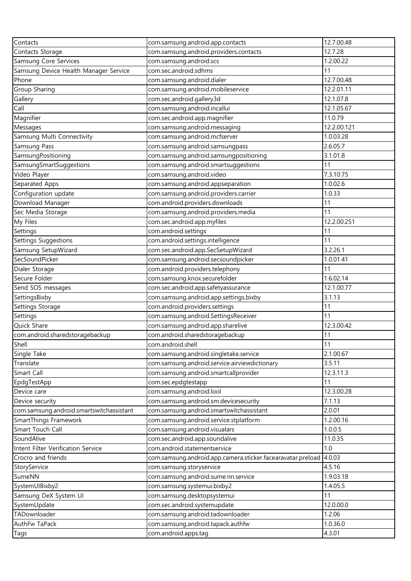| Contacts                                 | com.samsung.android.app.contacts                            | 12.7.00.48  |
|------------------------------------------|-------------------------------------------------------------|-------------|
| Contacts Storage                         | com.samsung.android.providers.contacts                      | 12.7.28     |
| Samsung Core Services                    | com.samsung.android.scs                                     | 1.2.00.22   |
| Samsung Device Health Manager Service    | com.sec.android.sdhms                                       | 11          |
| Phone                                    | com.samsung.android.dialer                                  | 12.7.00.48  |
| Group Sharing                            | com.samsung.android.mobileservice                           | 12.2.01.11  |
| Gallery                                  | com.sec.android.gallery3d                                   | 12.1.07.8   |
| Call                                     | com.samsung.android.incallui                                | 12.1.05.67  |
| Magnifier                                | com.sec.android.app.magnifier                               | 11.0.79     |
| Messages                                 | com.samsung.android.messaging                               | 12.2.00.121 |
| Samsung Multi Connectivity               | com.samsung.android.mcfserver                               | 1.0.03.28   |
| Samsung Pass                             | com.samsung.android.samsungpass                             | 2.6.05.7    |
| SamsungPositioning                       | com.samsung.android.samsungpositioning                      | 3.1.01.8    |
| SamsungSmartSuggestions                  | com.samsung.android.smartsuggestions                        | 11          |
| Video Player                             | com.samsung.android.video                                   | 7.3.10.75   |
| Separated Apps                           | com.samsung.android.appseparation                           | 1.0.02.6    |
| Configuration update                     | com.samsung.android.providers.carrier                       | 1.0.33      |
| Download Manager                         | com.android.providers.downloads                             | 11          |
| Sec Media Storage                        | com.samsung.android.providers.media                         | 11          |
|                                          |                                                             |             |
| My Files                                 | com.sec.android.app.myfiles                                 | 12.2.00.251 |
| Settings                                 | com.android.settings                                        | 11          |
| Settings Suggestions                     | com.android.settings.intelligence                           | 11          |
| Samsung SetupWizard                      | com.sec.android.app.SecSetupWizard                          | 3.2.26.1    |
| SecSoundPicker                           | com.samsung.android.secsoundpicker                          | 1.0.01.41   |
| Dialer Storage                           | com.android.providers.telephony                             | 11          |
| Secure Folder                            | com.samsung.knox.securefolder                               | 1.6.02.14   |
| Send SOS messages                        | com.sec.android.app.safetyassurance                         | 12.1.00.77  |
| SettingsBixby                            | com.samsung.android.app.settings.bixby                      | 3.1.13      |
| Settings Storage                         | com.android.providers.settings                              | 11          |
| Settings                                 | com.samsung.android.SettingsReceiver                        | 11          |
| Quick Share                              | com.samsung.android.app.sharelive                           | 12.3.00.42  |
| com.android.sharedstoragebackup          | com.android.sharedstoragebackup                             | 11          |
| Shell                                    | com.android.shell                                           | 11          |
| Single Take                              | com.samsung.android.singletake.service                      | 2.1.00.67   |
| Translate                                | com.samsung.android.service.airviewdictionary               | 3.5.11      |
| Smart Call                               | com.samsung.android.smartcallprovider                       | 12.3.11.3   |
| EpdgTestApp                              | com.sec.epdgtestapp                                         | 11          |
| Device care                              | com.samsung.android.lool                                    | 12.3.00.28  |
| Device security                          | com.samsung.android.sm.devicesecurity                       | 7.1.13      |
| com.samsung.android.smartswitchassistant | com.samsung.android.smartswitchassistant                    | 2.0.01      |
| SmartThings Framework                    | com.samsung.android.service.stplatform                      | 1.2.00.16   |
| Smart Touch Call                         | com.samsung.android.visualars                               | 1.0.0.5     |
| SoundAlive                               | com.sec.android.app.soundalive                              | 11.0.35     |
| Intent Filter Verification Service       | com.android.statementservice                                | 1.0         |
| Crocro and friends                       | com.samsung.android.app.camera.sticker.facearavatar.preload | 4.0.03      |
| StoryService                             | com.samsung.storyservice                                    | 4.5.16      |
| SumeNN                                   | com.samsung.android.sume.nn.service                         | 1.9.03.18   |
| SystemUIBixby2                           | com.samsung.systemui.bixby2                                 | 1.4.05.5    |
| Samsung DeX System UI                    | com.samsung.desktopsystemui                                 | 11          |
| SystemUpdate                             | com.sec.android.systemupdate                                | 12.0.00.0   |
| TADownloader                             | com.samsung.android.tadownloader                            | 1.2.06      |
| AuthFw TaPack                            | com.samsung.android.tapack.authfw                           | 1.0.36.0    |
| Tags                                     | com.android.apps.tag                                        | 4.3.01      |
|                                          |                                                             |             |